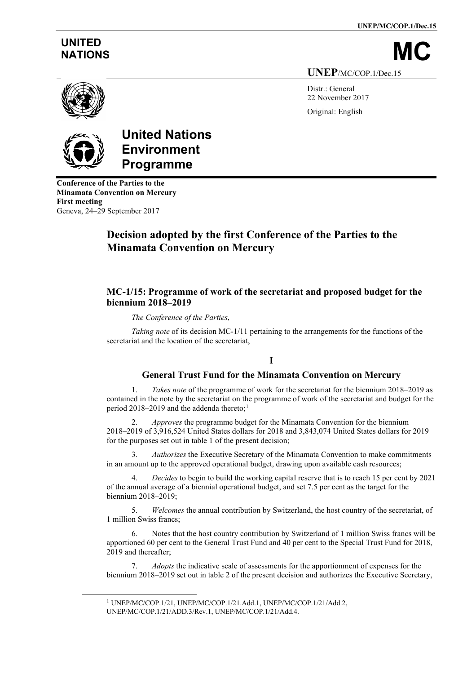**UNEP/MC/COP.1/Dec.15**

# **UNITED**

NATIONS **UNEP**/MC/COP.1/Dec.15

> Distr.: General 22 November 2017 Original: English



# **United Nations Environment Programme**

**Conference of the Parties to the Minamata Convention on Mercury First meeting** Geneva, 24–29 September 2017

# **Decision adopted by the first Conference of the Parties to the Minamata Convention on Mercury**

## **MC-1/15: Programme of work of the secretariat and proposed budget for the biennium 2018–2019**

#### *The Conference of the Parties*,

*Taking note* of its decision MC-1/11 pertaining to the arrangements for the functions of the secretariat and the location of the secretariat,

## **I**

## **General Trust Fund for the Minamata Convention on Mercury**

1. *Takes note* of the programme of work for the secretariat for the biennium 2018–2019 as contained in the note by the secretariat on the programme of work of the secretariat and budget for the period 20[1](#page-0-0)8–2019 and the addenda thereto;<sup>1</sup>

2. *Approves* the programme budget for the Minamata Convention for the biennium 2018–2019 of 3,916,524 United States dollars for 2018 and 3,843,074 United States dollars for 2019 for the purposes set out in table 1 of the present decision;

3. *Authorizes* the Executive Secretary of the Minamata Convention to make commitments in an amount up to the approved operational budget, drawing upon available cash resources;

4. *Decides* to begin to build the working capital reserve that is to reach 15 per cent by 2021 of the annual average of a biennial operational budget, and set 7.5 per cent as the target for the biennium 2018–2019;

5. *Welcomes* the annual contribution by Switzerland, the host country of the secretariat, of 1 million Swiss francs;

Notes that the host country contribution by Switzerland of 1 million Swiss francs will be apportioned 60 per cent to the General Trust Fund and 40 per cent to the Special Trust Fund for 2018, 2019 and thereafter;

7. *Adopts* the indicative scale of assessments for the apportionment of expenses for the biennium 2018–2019 set out in table 2 of the present decision and authorizes the Executive Secretary,

<span id="page-0-0"></span><sup>1</sup> UNEP/MC/COP.1/21, UNEP/MC/COP.1/21.Add.1, UNEP/MC/COP.1/21/Add.2, UNEP/MC/COP.1/21/ADD.3/Rev.1, UNEP/MC/COP.1/21/Add.4.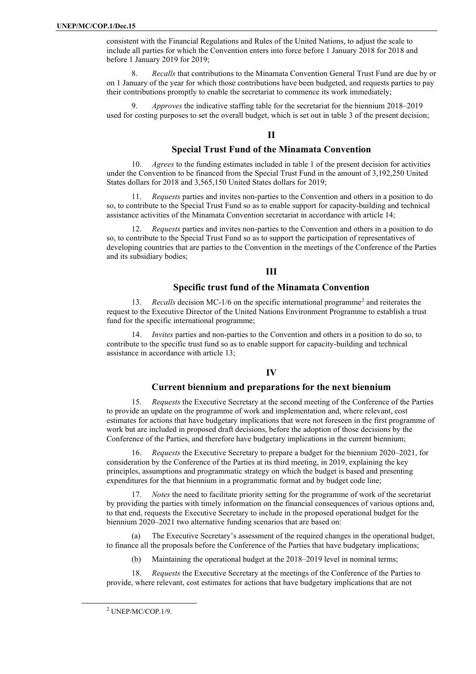consistent with the Financial Regulations and Rules of the United Nations, to adjust the scale to include all parties for which the Convention enters into force before 1 January 2018 for 2018 and before 1 January 2019 for 2019;

8. *Recalls* that contributions to the Minamata Convention General Trust Fund are due by or on 1 January of the year for which those contributions have been budgeted, and requests parties to pay their contributions promptly to enable the secretariat to commence its work immediately;

9. *Approves* the indicative staffing table for the secretariat for the biennium 2018–2019 used for costing purposes to set the overall budget, which is set out in table 3 of the present decision;

#### **II**

#### **Special Trust Fund of the Minamata Convention**

10. *Agrees* to the funding estimates included in table 1 of the present decision for activities under the Convention to be financed from the Special Trust Fund in the amount of 3,192,250 United States dollars for 2018 and 3,565,150 United States dollars for 2019;

11. *Requests* parties and invites non-parties to the Convention and others in a position to do so, to contribute to the Special Trust Fund so as to enable support for capacity-building and technical assistance activities of the Minamata Convention secretariat in accordance with article 14;

12. *Requests* parties and invites non-parties to the Convention and others in a position to do so, to contribute to the Special Trust Fund so as to support the participation of representatives of developing countries that are parties to the Convention in the meetings of the Conference of the Parties and its subsidiary bodies;

#### **III**

#### **Specific trust fund of the Minamata Convention**

13. *Recalls* decision MC-1/6 on the specific international programme[2](#page-1-0) and reiterates the request to the Executive Director of the United Nations Environment Programme to establish a trust fund for the specific international programme;

14. *Invites* parties and non-parties to the Convention and others in a position to do so, to contribute to the specific trust fund so as to enable support for capacity-building and technical assistance in accordance with article 13;

#### **IV**

#### **Current biennium and preparations for the next biennium**

15. *Requests* the Executive Secretary at the second meeting of the Conference of the Parties to provide an update on the programme of work and implementation and, where relevant, cost estimates for actions that have budgetary implications that were not foreseen in the first programme of work but are included in proposed draft decisions, before the adoption of those decisions by the Conference of the Parties, and therefore have budgetary implications in the current biennium;

16. *Requests* the Executive Secretary to prepare a budget for the biennium 2020–2021, for consideration by the Conference of the Parties at its third meeting, in 2019, explaining the key principles, assumptions and programmatic strategy on which the budget is based and presenting expenditures for the that biennium in a programmatic format and by budget code line;

*Notes* the need to facilitate priority setting for the programme of work of the secretariat by providing the parties with timely information on the financial consequences of various options and, to that end, requests the Executive Secretary to include in the proposed operational budget for the biennium 2020–2021 two alternative funding scenarios that are based on:

The Executive Secretary's assessment of the required changes in the operational budget, to finance all the proposals before the Conference of the Parties that have budgetary implications;

(b) Maintaining the operational budget at the  $2018-2019$  level in nominal terms;

18. *Requests* the Executive Secretary at the meetings of the Conference of the Parties to provide, where relevant, cost estimates for actions that have budgetary implications that are not

<span id="page-1-0"></span><sup>2</sup> UNEP/MC/COP.1/9.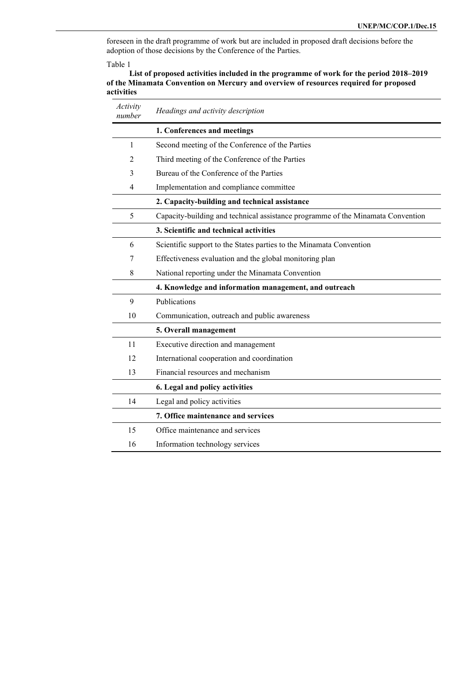foreseen in the draft programme of work but are included in proposed draft decisions before the adoption of those decisions by the Conference of the Parties.

Table 1

**List of proposed activities included in the programme of work for the period 2018–2019 of the Minamata Convention on Mercury and overview of resources required for proposed activities**

| Activity<br>number | Headings and activity description                                               |  |  |
|--------------------|---------------------------------------------------------------------------------|--|--|
|                    | 1. Conferences and meetings                                                     |  |  |
| 1                  | Second meeting of the Conference of the Parties                                 |  |  |
| 2                  | Third meeting of the Conference of the Parties                                  |  |  |
| 3                  | Bureau of the Conference of the Parties                                         |  |  |
| 4                  | Implementation and compliance committee                                         |  |  |
|                    | 2. Capacity-building and technical assistance                                   |  |  |
| 5                  | Capacity-building and technical assistance programme of the Minamata Convention |  |  |
|                    | 3. Scientific and technical activities                                          |  |  |
| 6                  | Scientific support to the States parties to the Minamata Convention             |  |  |
| 7                  | Effectiveness evaluation and the global monitoring plan                         |  |  |
| 8                  | National reporting under the Minamata Convention                                |  |  |
|                    | 4. Knowledge and information management, and outreach                           |  |  |
| 9                  | Publications                                                                    |  |  |
| 10                 | Communication, outreach and public awareness                                    |  |  |
|                    | 5. Overall management                                                           |  |  |
| 11                 | Executive direction and management                                              |  |  |
| 12                 | International cooperation and coordination                                      |  |  |
| 13                 | Financial resources and mechanism                                               |  |  |
|                    | 6. Legal and policy activities                                                  |  |  |
| 14                 | Legal and policy activities                                                     |  |  |
|                    | 7. Office maintenance and services                                              |  |  |
| 15                 | Office maintenance and services                                                 |  |  |
| 16                 | Information technology services                                                 |  |  |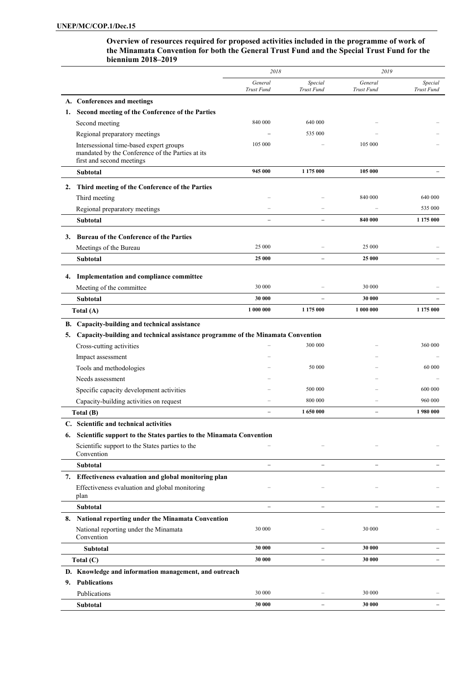**Overview of resources required for proposed activities included in the programme of work of the Minamata Convention for both the General Trust Fund and the Special Trust Fund for the biennium 2018–2019** 

|    |                                                                                                                          | 2018                     | 2019                     |                       |                       |  |
|----|--------------------------------------------------------------------------------------------------------------------------|--------------------------|--------------------------|-----------------------|-----------------------|--|
|    |                                                                                                                          | General<br>Trust Fund    | Special<br>Trust Fund    | General<br>Trust Fund | Special<br>Trust Fund |  |
|    | A. Conferences and meetings                                                                                              |                          |                          |                       |                       |  |
| 1. | Second meeting of the Conference of the Parties                                                                          |                          |                          |                       |                       |  |
|    | Second meeting                                                                                                           | 840 000                  | 640 000                  |                       |                       |  |
|    | Regional preparatory meetings                                                                                            |                          | 535 000                  |                       |                       |  |
|    | Intersessional time-based expert groups<br>mandated by the Conference of the Parties at its<br>first and second meetings | 105 000                  |                          | 105 000               |                       |  |
|    | <b>Subtotal</b>                                                                                                          | 945 000                  | 1 175 000                | 105 000               |                       |  |
| 2. | Third meeting of the Conference of the Parties                                                                           |                          |                          |                       |                       |  |
|    | Third meeting                                                                                                            |                          |                          | 840 000               | 640 000               |  |
|    | Regional preparatory meetings                                                                                            |                          |                          |                       | 535 000               |  |
|    | Subtotal                                                                                                                 |                          |                          | 840 000               | 1 175 000             |  |
|    |                                                                                                                          |                          |                          |                       |                       |  |
|    | 3. Bureau of the Conference of the Parties<br>Meetings of the Bureau                                                     | 25 000                   |                          | 25 000                |                       |  |
|    | Subtotal                                                                                                                 | 25 000                   | $\equiv$                 | 25 000                |                       |  |
|    |                                                                                                                          |                          |                          |                       |                       |  |
|    | 4. Implementation and compliance committee                                                                               |                          |                          |                       |                       |  |
|    | Meeting of the committee                                                                                                 | 30 000                   |                          | 30 000                |                       |  |
|    | Subtotal                                                                                                                 | 30 000                   |                          | 30 000                |                       |  |
|    | Total (A)                                                                                                                | 1 000 000                | 1 175 000                | 1 000 000             | 1 175 000             |  |
|    | B. Capacity-building and technical assistance                                                                            |                          |                          |                       |                       |  |
| 5. | Capacity-building and technical assistance programme of the Minamata Convention                                          |                          |                          |                       |                       |  |
|    | Cross-cutting activities                                                                                                 |                          | 300 000                  |                       | 360 000               |  |
|    | Impact assessment                                                                                                        |                          |                          |                       |                       |  |
|    | Tools and methodologies                                                                                                  |                          | 50 000                   |                       | 60 000                |  |
|    | Needs assessment                                                                                                         |                          |                          |                       |                       |  |
|    | Specific capacity development activities                                                                                 |                          | 500 000                  |                       | 600 000               |  |
|    | Capacity-building activities on request                                                                                  |                          | 800 000                  |                       | 960 000               |  |
|    | Total (B)                                                                                                                |                          | 1 650 000                |                       | 1980 000              |  |
|    | Scientific and technical activities                                                                                      |                          |                          |                       |                       |  |
|    | 6. Scientific support to the States parties to the Minamata Convention                                                   |                          |                          |                       |                       |  |
|    | Scientific support to the States parties to the<br>Convention                                                            |                          |                          |                       |                       |  |
|    | <b>Subtotal</b>                                                                                                          |                          |                          |                       |                       |  |
|    | 7. Effectiveness evaluation and global monitoring plan                                                                   |                          |                          |                       |                       |  |
|    | Effectiveness evaluation and global monitoring<br>plan                                                                   |                          |                          |                       |                       |  |
|    | Subtotal                                                                                                                 | $\overline{\phantom{0}}$ | $\overline{\phantom{0}}$ | $\equiv$              |                       |  |
|    | 8. National reporting under the Minamata Convention                                                                      |                          |                          |                       |                       |  |
|    | National reporting under the Minamata<br>Convention                                                                      | 30 000                   |                          | 30 000                |                       |  |
|    | <b>Subtotal</b>                                                                                                          | 30 000                   |                          | 30 000                |                       |  |
|    | Total (C)                                                                                                                | 30 000                   | $\overline{\phantom{0}}$ | 30 000                |                       |  |
|    | D. Knowledge and information management, and outreach                                                                    |                          |                          |                       |                       |  |
| 9. | <b>Publications</b>                                                                                                      |                          |                          |                       |                       |  |
|    | Publications                                                                                                             | 30 000                   |                          | 30 000                |                       |  |
|    | Subtotal                                                                                                                 | 30 000                   |                          | 30 000                |                       |  |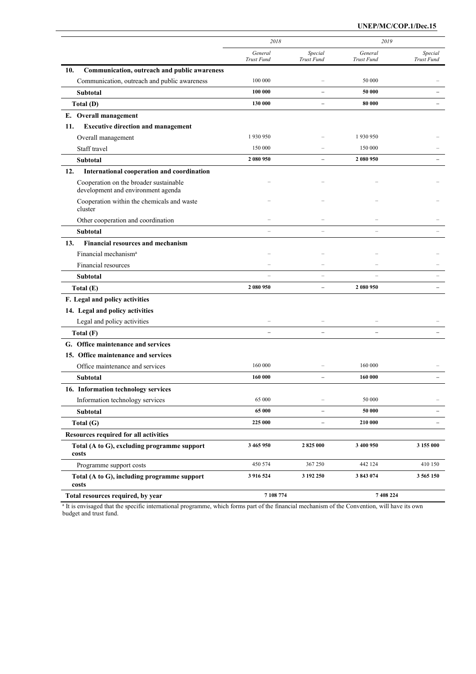#### **UNEP/MC/COP.1/Dec.15**

|                                                                              | 2018                  |                          | 2019                     |                       |
|------------------------------------------------------------------------------|-----------------------|--------------------------|--------------------------|-----------------------|
|                                                                              | General<br>Trust Fund | Special<br>Trust Fund    | General<br>Trust Fund    | Special<br>Trust Fund |
| 10.<br>Communication, outreach and public awareness                          |                       |                          |                          |                       |
| Communication, outreach and public awareness                                 | 100 000               |                          | 50 000                   |                       |
| Subtotal                                                                     | 100 000               |                          | 50 000                   |                       |
| Total (D)                                                                    | 130 000               | $\overline{\phantom{0}}$ | 80 000                   |                       |
| E. Overall management                                                        |                       |                          |                          |                       |
| <b>Executive direction and management</b><br>11.                             |                       |                          |                          |                       |
| Overall management                                                           | 1930950               |                          | 1930950                  |                       |
| Staff travel                                                                 | 150 000               |                          | 150 000                  |                       |
| Subtotal                                                                     | 2 080 950             |                          | 2 080 950                |                       |
| 12.<br>International cooperation and coordination                            |                       |                          |                          |                       |
| Cooperation on the broader sustainable<br>development and environment agenda |                       |                          |                          |                       |
| Cooperation within the chemicals and waste<br>cluster                        |                       |                          |                          |                       |
| Other cooperation and coordination                                           |                       |                          |                          |                       |
| Subtotal                                                                     |                       |                          |                          |                       |
| 13.<br><b>Financial resources and mechanism</b>                              |                       |                          |                          |                       |
| Financial mechanism <sup>a</sup>                                             |                       |                          |                          |                       |
| Financial resources                                                          |                       |                          |                          |                       |
| Subtotal                                                                     | L                     | $\overline{a}$           |                          |                       |
| Total (E)                                                                    | 2 080 950             | $\overline{\phantom{a}}$ | 2 080 950                |                       |
| F. Legal and policy activities                                               |                       |                          |                          |                       |
| 14. Legal and policy activities                                              |                       |                          |                          |                       |
| Legal and policy activities                                                  |                       |                          |                          |                       |
| Total (F)                                                                    | $\equiv$              | $\equiv$                 | $\overline{\phantom{0}}$ |                       |
| G. Office maintenance and services                                           |                       |                          |                          |                       |
| 15. Office maintenance and services                                          |                       |                          |                          |                       |
| Office maintenance and services                                              | 160 000               |                          | 160 000                  |                       |
| Subtotal                                                                     | 160 000               |                          | 160 000                  |                       |
| 16. Information technology services                                          |                       |                          |                          |                       |
| Information technology services                                              | 65 000                |                          | 50 000                   |                       |
| Subtotal                                                                     | 65 000                |                          | 50 000                   |                       |
| Total (G)                                                                    | 225 000               |                          | 210 000                  |                       |
| Resources required for all activities                                        |                       |                          |                          |                       |
| Total (A to G), excluding programme support<br>costs                         | 3 465 950             | 2825 000                 | 3 400 950                | 3 155 000             |
| Programme support costs                                                      | 450 574               | 367 250                  | 442 124                  | 410 150               |
| Total (A to G), including programme support<br>costs                         | 3 916 524             | 3 192 250                | 3 843 074                | 3 565 150             |
| Total resources required, by year                                            | 7 108 774             |                          | 7 408 224                |                       |

<sup>a</sup> It is envisaged that the specific international programme, which forms part of the financial mechanism of the Convention, will have its own budget and trust fund.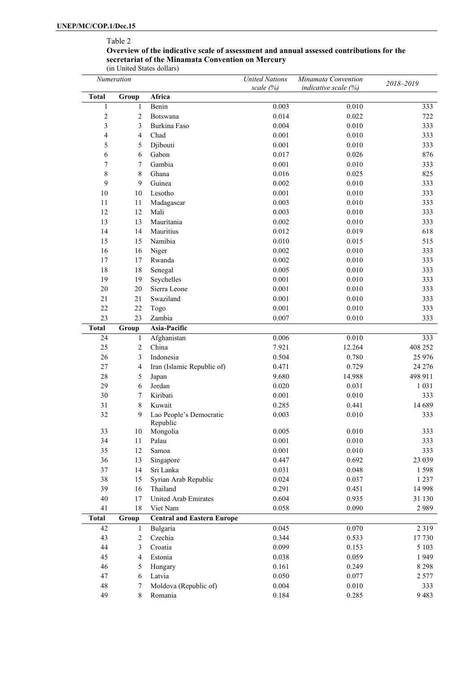# Table 2

#### **Overview of the indicative scale of assessment and annual assessed contributions for the secretariat of the Minamata Convention on Mercury**

(in United States dollars) *Numeration United Nations scale (%) Minamata Convention indicative scale (%) 2018‒2019* **Total Group Africa** 1 1 Benin 0.003 0.010 333 2 2 Botswana 1 0.014 0.022 722 3 333 Burkina Faso 6.004 0.010 0.010 333 4 4 Chad 0.001 0.010 333 5 5 Djibouti 10.001 0.010 0.010 333 6 6 Gabon 0.017 0.026 876 7 7 Gambia 0.001 0.010 333 8 8 Ghana 1 0.016 0.025 825 9 9 Guinea 0.002 0.010 333 10 10 Lesotho 0.001 0.010 0.010 333 11 11 Madagascar 0.003 0.010 333 12 12 Mali 0.003 0.010 333 13 13 Mauritania 0.002 0.010 333 14 14 Mauritius 0.012 0.019 0.019 0.019 0.01 15 15 Namibia 0.010 0.015 515 16 16 Niger 0.002 0.010 333 17 17 Rwanda 0.002 0.010 333 18 18 Senegal 0.005 0.010 333 19 19 Seychelles 0.001 0.010 0.010 333 20 20 Sierra Leone 0.001 0.010 0.010 333 21 21 Swaziland 0.001 0.010 333 22 22 Togo 0.001 0.010 333 23 23 Zambia 0.007 0.010 333 **Total Group Asia-Pacific** 24 1 Afghanistan 0.006 0.010 333 25 26 2 China 25 26 26 26 27.921 2.264 408 252 26 3 Indonesia 0.504 0.780 25 976 27 4 Iran (Islamic Republic of) 0.471 0.729 24 276 28 5 Japan 9.680 14.988 498 911 29 6 Jordan 0.020 0.031 1 031 30 7 Kiribati 0.001 0.010 333 31 8 Kuwait 0.285 0.441 14 689 32 9 Lao People's Democratic Republic 0.003 0.010 333 33 10 Mongolia 0.005 0.010 333 34 11 Palau 0.001 0.010 333 35 12 Samoa 0.001 0.010 333 36 13 Singapore 0.447 0.692 23 039 37 14 Sri Lanka 0.031 0.048 1 598 38 15 Syrian Arab Republic 0.024 0.037 1 237 39 16 Thailand 0.291 0.451 14 998 40 17 United Arab Emirates 0.604 0.935 31 130 41 18 Viet Nam 2989 20058 0.090 2989 **Total Group Central and Eastern Europe** 42 1 Bulgaria 0.045 0.070 2 319 43 2 Czechia 0.344 0.533 17 730 44 3 Croatia 0.099 0.153 5 103 45 4 Estonia 0.038 0.059 1 949 46 5 Hungary 0.161 0.249 8 298 47 6 Latvia 0.050 0.077 2 577 48 7 Moldova (Republic of) 0.004 0.010 333 49 8 Romania 0.184 0.285 9 483